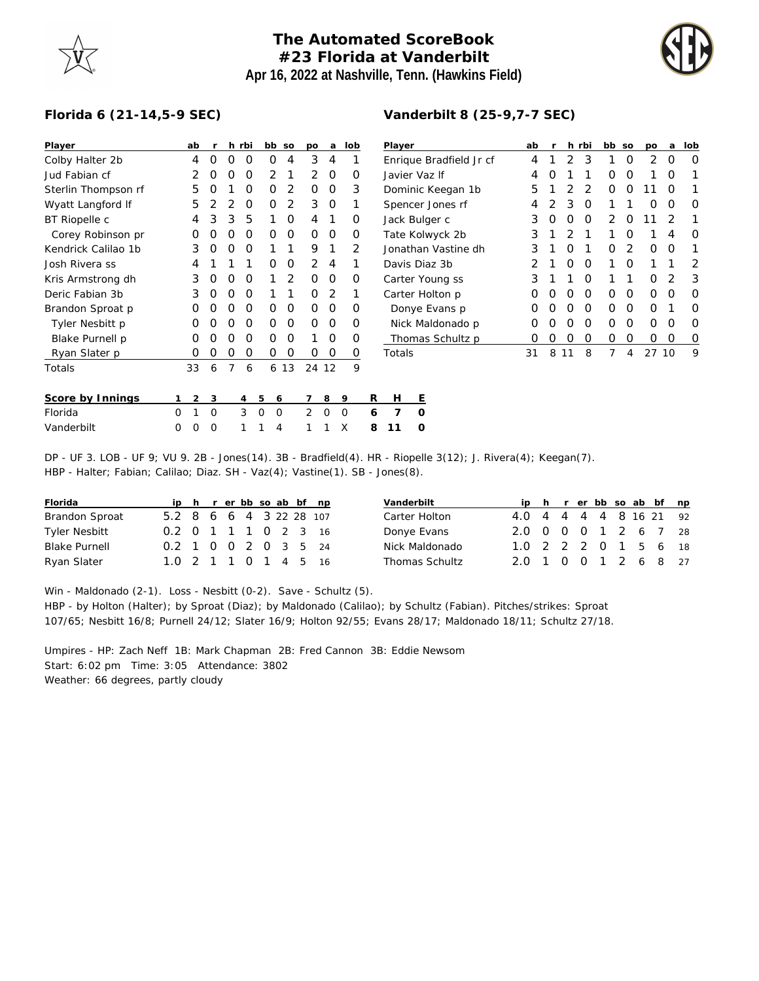## **The Automated ScoreBook #23 Florida at Vanderbilt Apr 16, 2022 at Nashville, Tenn. (Hawkins Field)**



## **Florida 6 (21-14,5-9 SEC)**

| Player              |          | ab             | <b>r</b> |          | h rbi          | bb so                |      | po            | a           | lob      |   | Player            |                  |                         |  | ab |   |    | h rbi    | bb so |          | po       | a  | lob      |
|---------------------|----------|----------------|----------|----------|----------------|----------------------|------|---------------|-------------|----------|---|-------------------|------------------|-------------------------|--|----|---|----|----------|-------|----------|----------|----|----------|
| Colby Halter 2b     |          | 4              | $\Omega$ | $\Omega$ | $\Omega$       | 0                    | 4    | 3             | 4           |          |   |                   |                  | Enrique Bradfield Jr cf |  | 4  |   | 2  | 3        |       | 0        | 2        | 0  | $\Omega$ |
| Jud Fabian cf       |          |                | O        | O        | O              | 2                    |      | 2             | 0           | 0        |   | Javier Vaz If     |                  |                         |  |    | O |    |          | 0     | 0        |          | O  |          |
| Sterlin Thompson rf |          | 5              |          |          | 0              | 0                    | 2    | $\Omega$      | 0           | 3        |   | Dominic Keegan 1b |                  |                         |  |    |   |    | 2        | 0     | 0        | 11       | Ő  |          |
| Wyatt Langford If   |          | 5              |          |          | O              | O                    | 2    | 3             | 0           |          |   |                   | Spencer Jones rf |                         |  | 4  |   | 3  | O        |       |          | O        | O  | $\Omega$ |
| BT Riopelle c       |          | 4              | 3        | 3        | 5              |                      | 0    | 4             |             | $\Omega$ |   |                   | Jack Bulger c    |                         |  | 3  | 0 | 0  | 0        | 2     | 0        | ا ۱      | 2  |          |
| Corey Robinson pr   |          | O              |          |          | O              | 0                    | 0    | $\Omega$      | $\Omega$    | O        |   |                   | Tate Kolwyck 2b  |                         |  | 3  |   |    |          |       | Ο        |          | 4  | $\Omega$ |
| Kendrick Calilao 1b |          | 3              |          | Ω        | O              |                      |      | 9             |             | 2        |   |                   |                  | Jonathan Vastine dh     |  | 3  |   | O  |          | Ο     | 2        | $\Omega$ | O  |          |
| Josh Rivera ss      |          | 4              |          |          |                | 0                    | 0    | 2             | 4           |          |   | Davis Diaz 3b     |                  |                         |  |    |   | O  | $\Omega$ |       | $\Omega$ |          |    | 2        |
| Kris Armstrong dh   |          | 3              | 0        | O        | 0              |                      | 2    | $\Omega$      | $\circ$     | 0        |   | Carter Young ss   |                  |                         |  | 3  |   |    | 0        |       |          | 0        | 2  | 3        |
| Deric Fabian 3b     |          | 3              | $\Omega$ | O        | $\Omega$       |                      |      | $\Omega$      | 2           |          |   | Carter Holton p   |                  |                         |  | O  | O | O  | $\Omega$ | 0     | 0        | 0        | O  | $\Omega$ |
| Brandon Sproat p    |          | 0              | O        | $\left($ | $\Omega$       | 0                    | 0    | $\Omega$      | $\Omega$    | O        |   |                   | Donye Evans p    |                         |  | Ο  | O | O  | $\Omega$ | 0     | 0        | $\Omega$ |    | $\Omega$ |
| Tyler Nesbitt p     |          | 0              |          |          | O              | 0                    | 0    | $\Omega$      | $\circ$     | O        |   |                   |                  | Nick Maldonado p        |  | O  |   | O  | O        | Ο     | O        | 0        | 0  | $\Omega$ |
| Blake Purnell p     |          | O              |          | Ω        | O              | Ο                    | 0    |               | $\Omega$    | O        |   |                   |                  | Thomas Schultz p        |  | O  | O | O  | O        | 0     | 0        | 0        | 0  | 0        |
| Ryan Slater p       |          | 0              | O        | O        | $\Omega$       | 0                    | 0    | $\Omega$      | $\mathbf 0$ | 0        |   | Totals            |                  |                         |  | 31 | 8 | 11 | 8        | 7     | 4        | 27       | 10 | 9        |
| Totals              |          | 33             | 6        | 7        | 6              |                      | 6 13 | 24 12         |             | 9        |   |                   |                  |                         |  |    |   |    |          |       |          |          |    |          |
| Score by Innings    |          | $\overline{2}$ | 3        |          | $\overline{4}$ | 5<br>6               |      |               | 8           | - 9      | R | Н                 | E                |                         |  |    |   |    |          |       |          |          |    |          |
| Florida             | $\Omega$ |                | $\Omega$ |          | 3              | $\Omega$<br>$\Omega$ |      | $\mathcal{P}$ | $\Omega$    | $\Omega$ | 6 | 7                 | $\Omega$         |                         |  |    |   |    |          |       |          |          |    |          |
| Vanderbilt          | $\Omega$ | Ο              | 0        |          |                | 4                    |      |               |             | X        | 8 |                   | O                |                         |  |    |   |    |          |       |          |          |    |          |

DP - UF 3. LOB - UF 9; VU 9. 2B - Jones(14). 3B - Bradfield(4). HR - Riopelle 3(12); J. Rivera(4); Keegan(7). HBP - Halter; Fabian; Calilao; Diaz. SH - Vaz(4); Vastine(1). SB - Jones(8).

| Florida              |                         |  | ip h r er bb so ab bf np |  |  |  | Vanderbilt     |                        |  |  |  | ip h r er bb so ab bf np |  |
|----------------------|-------------------------|--|--------------------------|--|--|--|----------------|------------------------|--|--|--|--------------------------|--|
| Brandon Sproat       | 5.2 8 6 6 4 3 22 28 107 |  |                          |  |  |  | Carter Holton  | 4.0 4 4 4 4 8 16 21 92 |  |  |  |                          |  |
| Tyler Nesbitt        | 0.2 0 1 1 1 0 2 3 16    |  |                          |  |  |  | Donye Evans    | 2.0 0 0 0 1 2 6 7 28   |  |  |  |                          |  |
| <b>Blake Purnell</b> | 0.2 1 0 0 2 0 3 5 24    |  |                          |  |  |  | Nick Maldonado | 1.0 2 2 2 0 1 5 6 18   |  |  |  |                          |  |
| Ryan Slater          | 1.0 2 1 1 0 1 4 5 16    |  |                          |  |  |  | Thomas Schultz | 2.0 1 0 0 1 2 6 8 27   |  |  |  |                          |  |

Win - Maldonado (2-1). Loss - Nesbitt (0-2). Save - Schultz (5).

HBP - by Holton (Halter); by Sproat (Diaz); by Maldonado (Calilao); by Schultz (Fabian). Pitches/strikes: Sproat 107/65; Nesbitt 16/8; Purnell 24/12; Slater 16/9; Holton 92/55; Evans 28/17; Maldonado 18/11; Schultz 27/18.

Umpires - HP: Zach Neff 1B: Mark Chapman 2B: Fred Cannon 3B: Eddie Newsom Start: 6:02 pm Time: 3:05 Attendance: 3802 Weather: 66 degrees, partly cloudy

## **Vanderbilt 8 (25-9,7-7 SEC)**